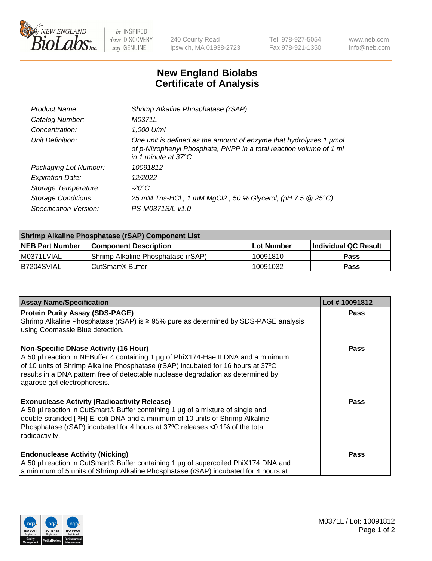

 $be$  INSPIRED drive DISCOVERY stay GENUINE

240 County Road Ipswich, MA 01938-2723 Tel 978-927-5054 Fax 978-921-1350 www.neb.com info@neb.com

## **New England Biolabs Certificate of Analysis**

| Product Name:              | Shrimp Alkaline Phosphatase (rSAP)                                                                                                                                         |
|----------------------------|----------------------------------------------------------------------------------------------------------------------------------------------------------------------------|
| Catalog Number:            | M0371L                                                                                                                                                                     |
| Concentration:             | 1,000 U/ml                                                                                                                                                                 |
| Unit Definition:           | One unit is defined as the amount of enzyme that hydrolyzes 1 µmol<br>of p-Nitrophenyl Phosphate, PNPP in a total reaction volume of 1 ml<br>in 1 minute at $37^{\circ}$ C |
| Packaging Lot Number:      | 10091812                                                                                                                                                                   |
| <b>Expiration Date:</b>    | 12/2022                                                                                                                                                                    |
| Storage Temperature:       | $-20^{\circ}$ C                                                                                                                                                            |
| <b>Storage Conditions:</b> | 25 mM Tris-HCl, 1 mM MgCl2, 50 % Glycerol, (pH 7.5 @ 25°C)                                                                                                                 |
| Specification Version:     | PS-M0371S/L v1.0                                                                                                                                                           |

| Shrimp Alkaline Phosphatase (rSAP) Component List |                                    |                   |                      |  |  |
|---------------------------------------------------|------------------------------------|-------------------|----------------------|--|--|
| <b>NEB Part Number</b>                            | <b>Component Description</b>       | <b>Lot Number</b> | Individual QC Result |  |  |
| I M0371LVIAL                                      | Shrimp Alkaline Phosphatase (rSAP) | 10091810          | Pass                 |  |  |
| B7204SVIAL                                        | l CutSmart® Buffer                 | 10091032          | Pass                 |  |  |

| <b>Assay Name/Specification</b>                                                                                                                                                                                                                                                                                                             | Lot #10091812 |
|---------------------------------------------------------------------------------------------------------------------------------------------------------------------------------------------------------------------------------------------------------------------------------------------------------------------------------------------|---------------|
| <b>Protein Purity Assay (SDS-PAGE)</b><br>Shrimp Alkaline Phosphatase (rSAP) is ≥ 95% pure as determined by SDS-PAGE analysis<br>using Coomassie Blue detection.                                                                                                                                                                            | <b>Pass</b>   |
| <b>Non-Specific DNase Activity (16 Hour)</b><br>A 50 µl reaction in NEBuffer 4 containing 1 µg of PhiX174-Haelll DNA and a minimum<br>of 10 units of Shrimp Alkaline Phosphatase (rSAP) incubated for 16 hours at 37°C<br>results in a DNA pattern free of detectable nuclease degradation as determined by<br>agarose gel electrophoresis. | <b>Pass</b>   |
| <b>Exonuclease Activity (Radioactivity Release)</b><br>A 50 µl reaction in CutSmart® Buffer containing 1 µg of a mixture of single and<br>double-stranded [3H] E. coli DNA and a minimum of 10 units of Shrimp Alkaline<br>Phosphatase (rSAP) incubated for 4 hours at 37°C releases <0.1% of the total<br>radioactivity.                   | <b>Pass</b>   |
| <b>Endonuclease Activity (Nicking)</b><br>A 50 µl reaction in CutSmart® Buffer containing 1 µg of supercoiled PhiX174 DNA and<br>a minimum of 5 units of Shrimp Alkaline Phosphatase (rSAP) incubated for 4 hours at                                                                                                                        | <b>Pass</b>   |